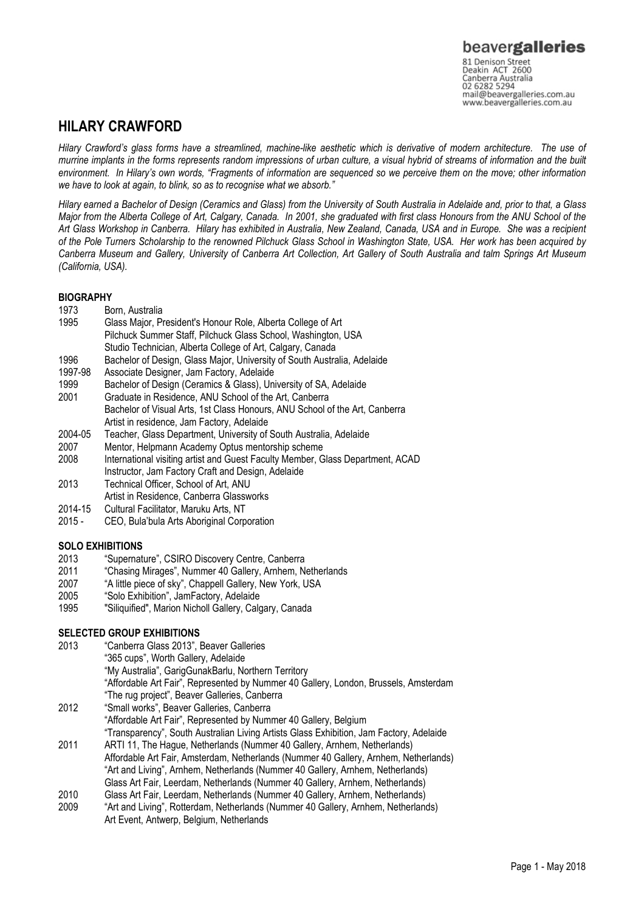## HILARY CRAWFORD

Hilary Crawford's glass forms have a streamlined, machine-like aesthetic which is derivative of modern architecture. The use of murrine implants in the forms represents random impressions of urban culture, a visual hybrid of streams of information and the built environment. In Hilary's own words, "Fragments of information are sequenced so we perceive them on the move; other information we have to look at again, to blink, so as to recognise what we absorb."

Hilary earned a Bachelor of Design (Ceramics and Glass) from the University of South Australia in Adelaide and, prior to that, a Glass Major from the Alberta College of Art, Calgary, Canada. In 2001, she graduated with first class Honours from the ANU School of the Art Glass Workshop in Canberra. Hilary has exhibited in Australia, New Zealand, Canada, USA and in Europe. She was a recipient of the Pole Turners Scholarship to the renowned Pilchuck Glass School in Washington State, USA. Her work has been acquired by Canberra Museum and Gallery, University of Canberra Art Collection, Art Gallery of South Australia and talm Springs Art Museum (California, USA).

## **BIOGRAPHY**

- 1973 Born, Australia
- 1995 Glass Major, President's Honour Role, Alberta College of Art Pilchuck Summer Staff, Pilchuck Glass School, Washington, USA
- Studio Technician, Alberta College of Art, Calgary, Canada
- 1996 Bachelor of Design, Glass Major, University of South Australia, Adelaide
- 1997-98 Associate Designer, Jam Factory, Adelaide
- 1999 Bachelor of Design (Ceramics & Glass), University of SA, Adelaide
- 2001 Graduate in Residence, ANU School of the Art, Canberra
- Bachelor of Visual Arts, 1st Class Honours, ANU School of the Art, Canberra Artist in residence, Jam Factory, Adelaide
- 2004-05 Teacher, Glass Department, University of South Australia, Adelaide
- 2007 Mentor, Helpmann Academy Optus mentorship scheme
- 2008 International visiting artist and Guest Faculty Member, Glass Department, ACAD Instructor, Jam Factory Craft and Design, Adelaide
- 2013 Technical Officer, School of Art, ANU Artist in Residence, Canberra Glassworks
- 2014-15 Cultural Facilitator, Maruku Arts, NT
- 2015 CEO, Bula'bula Arts Aboriginal Corporation

## SOLO EXHIBITIONS

- 2013 "Supernature", CSIRO Discovery Centre, Canberra
- 2011 "Chasing Mirages", Nummer 40 Gallery, Arnhem, Netherlands
- 2007 "A little piece of sky", Chappell Gallery, New York, USA
- 2005 "Solo Exhibition", JamFactory, Adelaide
- 1995 "Siliquified", Marion Nicholl Gallery, Calgary, Canada

## SELECTED GROUP EXHIBITIONS

- 2013 "Canberra Glass 2013", Beaver Galleries "365 cups", Worth Gallery, Adelaide "My Australia", GarigGunakBarlu, Northern Territory "Affordable Art Fair", Represented by Nummer 40 Gallery, London, Brussels, Amsterdam "The rug project", Beaver Galleries, Canberra 2012 "Small works", Beaver Galleries, Canberra
- "Affordable Art Fair", Represented by Nummer 40 Gallery, Belgium "Transparency", South Australian Living Artists Glass Exhibition, Jam Factory, Adelaide 2011 ARTI 11, The Hague, Netherlands (Nummer 40 Gallery, Arnhem, Netherlands)
- Affordable Art Fair, Amsterdam, Netherlands (Nummer 40 Gallery, Arnhem, Netherlands) "Art and Living", Arnhem, Netherlands (Nummer 40 Gallery, Arnhem, Netherlands) Glass Art Fair, Leerdam, Netherlands (Nummer 40 Gallery, Arnhem, Netherlands)<br>2010 Glass Art Fair Leerdam, Netherlands (Nummer 40 Gallery, Arnhem, Netherlands)
- Glass Art Fair, Leerdam, Netherlands (Nummer 40 Gallery, Arnhem, Netherlands)
- 2009 "Art and Living", Rotterdam, Netherlands (Nummer 40 Gallery, Arnhem, Netherlands) Art Event, Antwerp, Belgium, Netherlands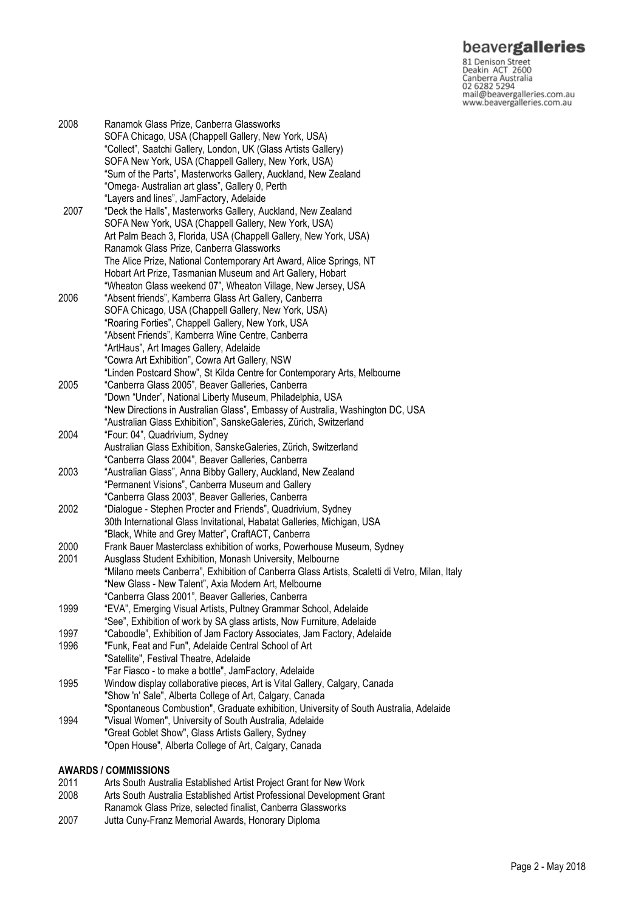# beavergalleries

81 Denison Street<br>Deakin ACT 2600 Canberra Australia 02 6282 5294 mail@beavergalleries.com.au www.beavergalleries.com.au

2008 Ranamok Glass Prize, Canberra Glassworks SOFA Chicago, USA (Chappell Gallery, New York, USA) "Collect", Saatchi Gallery, London, UK (Glass Artists Gallery) SOFA New York, USA (Chappell Gallery, New York, USA) "Sum of the Parts", Masterworks Gallery, Auckland, New Zealand "Omega- Australian art glass", Gallery 0, Perth "Layers and lines", JamFactory, Adelaide<br>2007 "Deck the Halls". Masterworks Gallery. Au "Deck the Halls", Masterworks Gallery, Auckland, New Zealand SOFA New York, USA (Chappell Gallery, New York, USA) Art Palm Beach 3, Florida, USA (Chappell Gallery, New York, USA) Ranamok Glass Prize, Canberra Glassworks The Alice Prize, National Contemporary Art Award, Alice Springs, NT Hobart Art Prize, Tasmanian Museum and Art Gallery, Hobart "Wheaton Glass weekend 07", Wheaton Village, New Jersey, USA 2006 "Absent friends", Kamberra Glass Art Gallery, Canberra SOFA Chicago, USA (Chappell Gallery, New York, USA) "Roaring Forties", Chappell Gallery, New York, USA "Absent Friends", Kamberra Wine Centre, Canberra "ArtHaus", Art Images Gallery, Adelaide "Cowra Art Exhibition", Cowra Art Gallery, NSW "Linden Postcard Show", St Kilda Centre for Contemporary Arts, Melbourne 2005 "Canberra Glass 2005", Beaver Galleries, Canberra "Down "Under", National Liberty Museum, Philadelphia, USA "New Directions in Australian Glass", Embassy of Australia, Washington DC, USA "Australian Glass Exhibition", SanskeGaleries, Zürich, Switzerland 2004 "Four: 04", Quadrivium, Sydney Australian Glass Exhibition, SanskeGaleries, Zürich, Switzerland "Canberra Glass 2004", Beaver Galleries, Canberra 2003 "Australian Glass", Anna Bibby Gallery, Auckland, New Zealand "Permanent Visions", Canberra Museum and Gallery "Canberra Glass 2003", Beaver Galleries, Canberra<br>2002 "Dialogue - Stephen Procter and Friends". Quadriviu "Dialogue - Stephen Procter and Friends", Quadrivium, Sydney 30th International Glass Invitational, Habatat Galleries, Michigan, USA "Black, White and Grey Matter", CraftACT, Canberra 2000 Frank Bauer Masterclass exhibition of works, Powerhouse Museum, Sydney 2001 Ausglass Student Exhibition, Monash University, Melbourne "Milano meets Canberra", Exhibition of Canberra Glass Artists, Scaletti di Vetro, Milan, Italy "New Glass - New Talent", Axia Modern Art, Melbourne "Canberra Glass 2001", Beaver Galleries, Canberra 1999 "EVA", Emerging Visual Artists, Pultney Grammar School, Adelaide "See", Exhibition of work by SA glass artists, Now Furniture, Adelaide 1997 "Caboodle", Exhibition of Jam Factory Associates, Jam Factory, Adelaide 1996 "Funk, Feat and Fun", Adelaide Central School of Art "Satellite", Festival Theatre, Adelaide "Far Fiasco - to make a bottle", JamFactory, Adelaide 1995 Window display collaborative pieces, Art is Vital Gallery, Calgary, Canada "Show 'n' Sale", Alberta College of Art, Calgary, Canada "Spontaneous Combustion", Graduate exhibition, University of South Australia, Adelaide 1994 "Visual Women", University of South Australia, Adelaide "Great Goblet Show", Glass Artists Gallery, Sydney "Open House", Alberta College of Art, Calgary, Canada

### AWARDS / COMMISSIONS

- 2011 Arts South Australia Established Artist Project Grant for New Work
- 2008 Arts South Australia Established Artist Professional Development Grant Ranamok Glass Prize, selected finalist, Canberra Glassworks
- 2007 Jutta Cuny-Franz Memorial Awards, Honorary Diploma